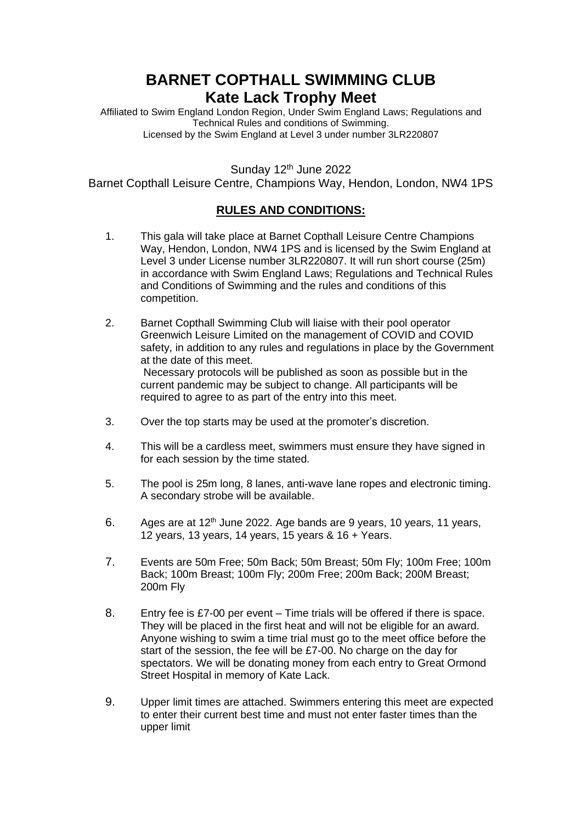## **BARNET COPTHALL SWIMMING CLUB Kate Lack Trophy Meet**

Affiliated to Swim England London Region, Under Swim England Laws; Regulations and Technical Rules and conditions of Swimming. Licensed by the Swim England at Level 3 under number 3LR220807

Sunday 12<sup>th</sup> June 2022

Barnet Copthall Leisure Centre, Champions Way, Hendon, London, NW4 1PS

## **RULES AND CONDITIONS:**

- 1. This gala will take place at Barnet Copthall Leisure Centre Champions Way, Hendon, London, NW4 1PS and is licensed by the Swim England at Level 3 under License number 3LR220807. It will run short course (25m) in accordance with Swim England Laws; Regulations and Technical Rules and Conditions of Swimming and the rules and conditions of this competition.
- 2. Barnet Copthall Swimming Club will liaise with their pool operator Greenwich Leisure Limited on the management of COVID and COVID safety, in addition to any rules and regulations in place by the Government at the date of this meet. Necessary protocols will be published as soon as possible but in the current pandemic may be subject to change. All participants will be required to agree to as part of the entry into this meet.
- 3. Over the top starts may be used at the promoter's discretion.
- 4. This will be a cardless meet, swimmers must ensure they have signed in for each session by the time stated.
- 5. The pool is 25m long, 8 lanes, anti-wave lane ropes and electronic timing. A secondary strobe will be available.
- 6. Ages are at  $12<sup>th</sup>$  June 2022. Age bands are 9 years, 10 years, 11 years, 12 years, 13 years, 14 years, 15 years & 16 + Years.
- 7. Events are 50m Free; 50m Back; 50m Breast; 50m Fly; 100m Free; 100m Back; 100m Breast; 100m Fly; 200m Free; 200m Back; 200M Breast; 200m Fly
- 8. Entry fee is £7-00 per event Time trials will be offered if there is space. They will be placed in the first heat and will not be eligible for an award. Anyone wishing to swim a time trial must go to the meet office before the start of the session, the fee will be £7-00. No charge on the day for spectators. We will be donating money from each entry to Great Ormond Street Hospital in memory of Kate Lack.
- 9. Upper limit times are attached. Swimmers entering this meet are expected to enter their current best time and must not enter faster times than the upper limit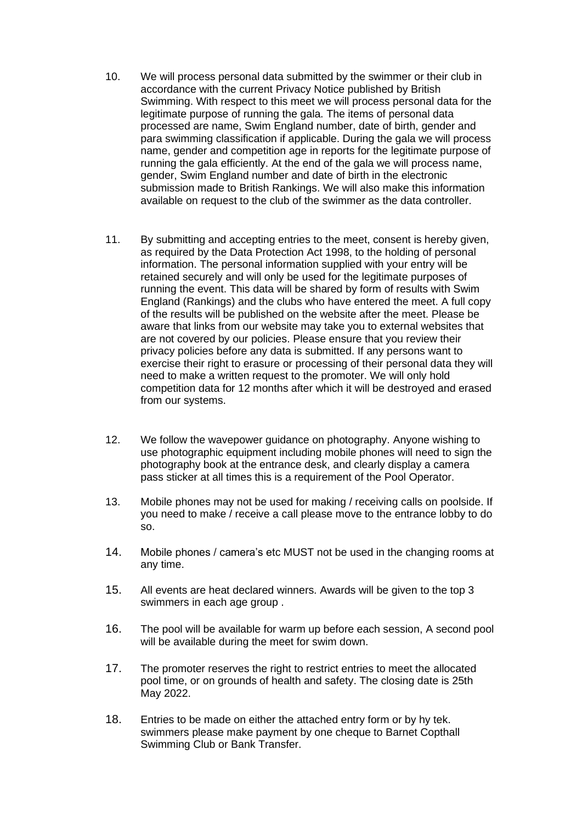- 10. We will process personal data submitted by the swimmer or their club in accordance with the current Privacy Notice published by British Swimming. With respect to this meet we will process personal data for the legitimate purpose of running the gala. The items of personal data processed are name, Swim England number, date of birth, gender and para swimming classification if applicable. During the gala we will process name, gender and competition age in reports for the legitimate purpose of running the gala efficiently. At the end of the gala we will process name, gender, Swim England number and date of birth in the electronic submission made to British Rankings. We will also make this information available on request to the club of the swimmer as the data controller.
- 11. By submitting and accepting entries to the meet, consent is hereby given, as required by the Data Protection Act 1998, to the holding of personal information. The personal information supplied with your entry will be retained securely and will only be used for the legitimate purposes of running the event. This data will be shared by form of results with Swim England (Rankings) and the clubs who have entered the meet. A full copy of the results will be published on the website after the meet. Please be aware that links from our website may take you to external websites that are not covered by our policies. Please ensure that you review their privacy policies before any data is submitted. If any persons want to exercise their right to erasure or processing of their personal data they will need to make a written request to the promoter. We will only hold competition data for 12 months after which it will be destroyed and erased from our systems.
- 12. We follow the wavepower guidance on photography. Anyone wishing to use photographic equipment including mobile phones will need to sign the photography book at the entrance desk, and clearly display a camera pass sticker at all times this is a requirement of the Pool Operator.
- 13. Mobile phones may not be used for making / receiving calls on poolside. If you need to make / receive a call please move to the entrance lobby to do so.
- 14. Mobile phones / camera's etc MUST not be used in the changing rooms at any time.
- 15. All events are heat declared winners. Awards will be given to the top 3 swimmers in each age group .
- 16. The pool will be available for warm up before each session, A second pool will be available during the meet for swim down.
- 17. The promoter reserves the right to restrict entries to meet the allocated pool time, or on grounds of health and safety. The closing date is 25th May 2022.
- 18. Entries to be made on either the attached entry form or by hy tek. swimmers please make payment by one cheque to Barnet Copthall Swimming Club or Bank Transfer.